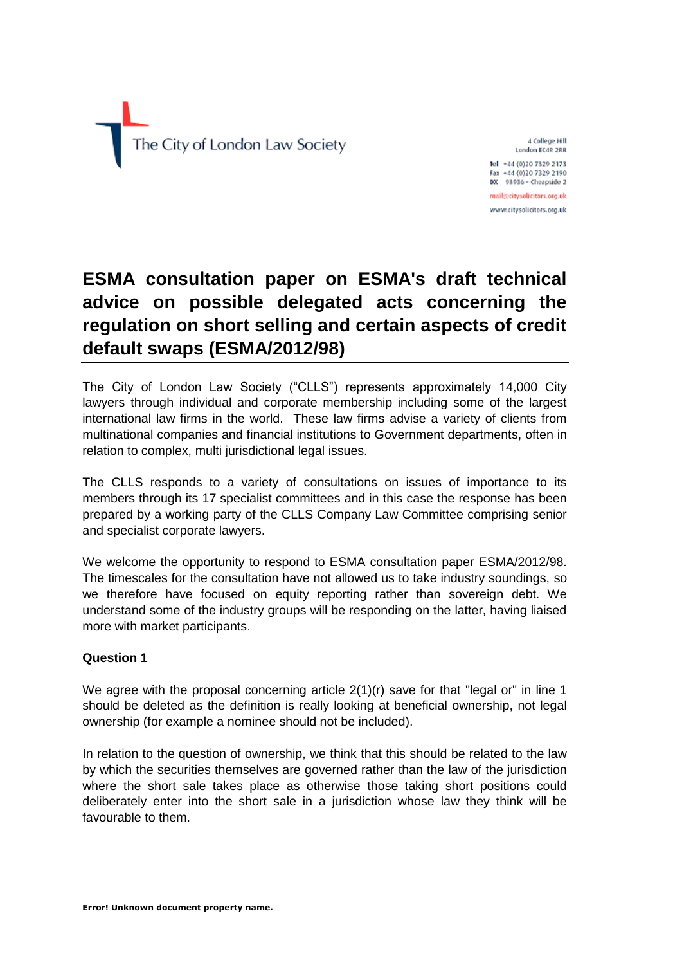

4 College Hill London EC4R 2RB Tel +44 (0)20 7329 2173

Fax +44 (0)20 7329 2190 DX 98936 - Cheapside 2 mail@citysolicitors.org.uk

www.citysolicitors.org.uk

# **ESMA consultation paper on ESMA's draft technical advice on possible delegated acts concerning the regulation on short selling and certain aspects of credit default swaps (ESMA/2012/98)**

The City of London Law Society ("CLLS") represents approximately 14,000 City lawyers through individual and corporate membership including some of the largest international law firms in the world. These law firms advise a variety of clients from multinational companies and financial institutions to Government departments, often in relation to complex, multi jurisdictional legal issues.

The CLLS responds to a variety of consultations on issues of importance to its members through its 17 specialist committees and in this case the response has been prepared by a working party of the CLLS Company Law Committee comprising senior and specialist corporate lawyers.

We welcome the opportunity to respond to ESMA consultation paper ESMA/2012/98. The timescales for the consultation have not allowed us to take industry soundings, so we therefore have focused on equity reporting rather than sovereign debt. We understand some of the industry groups will be responding on the latter, having liaised more with market participants.

## **Question 1**

We agree with the proposal concerning article  $2(1)(r)$  save for that "legal or" in line 1 should be deleted as the definition is really looking at beneficial ownership, not legal ownership (for example a nominee should not be included).

In relation to the question of ownership, we think that this should be related to the law by which the securities themselves are governed rather than the law of the jurisdiction where the short sale takes place as otherwise those taking short positions could deliberately enter into the short sale in a jurisdiction whose law they think will be favourable to them.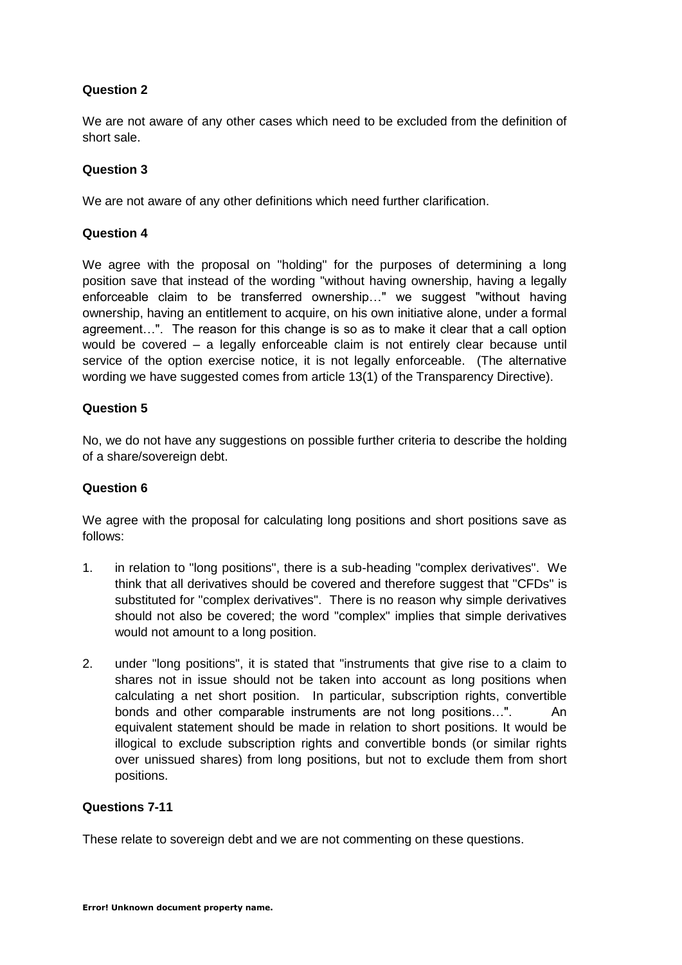# **Question 2**

We are not aware of any other cases which need to be excluded from the definition of short sale.

## **Question 3**

We are not aware of any other definitions which need further clarification.

## **Question 4**

We agree with the proposal on "holding" for the purposes of determining a long position save that instead of the wording "without having ownership, having a legally enforceable claim to be transferred ownership…" we suggest "without having ownership, having an entitlement to acquire, on his own initiative alone, under a formal agreement…". The reason for this change is so as to make it clear that a call option would be covered – a legally enforceable claim is not entirely clear because until service of the option exercise notice, it is not legally enforceable. (The alternative wording we have suggested comes from article 13(1) of the Transparency Directive).

## **Question 5**

No, we do not have any suggestions on possible further criteria to describe the holding of a share/sovereign debt.

#### **Question 6**

We agree with the proposal for calculating long positions and short positions save as follows:

- 1. in relation to "long positions", there is a sub-heading "complex derivatives". We think that all derivatives should be covered and therefore suggest that "CFDs" is substituted for "complex derivatives". There is no reason why simple derivatives should not also be covered; the word "complex" implies that simple derivatives would not amount to a long position.
- 2. under "long positions", it is stated that "instruments that give rise to a claim to shares not in issue should not be taken into account as long positions when calculating a net short position. In particular, subscription rights, convertible bonds and other comparable instruments are not long positions…". An equivalent statement should be made in relation to short positions. It would be illogical to exclude subscription rights and convertible bonds (or similar rights over unissued shares) from long positions, but not to exclude them from short positions.

#### **Questions 7-11**

These relate to sovereign debt and we are not commenting on these questions.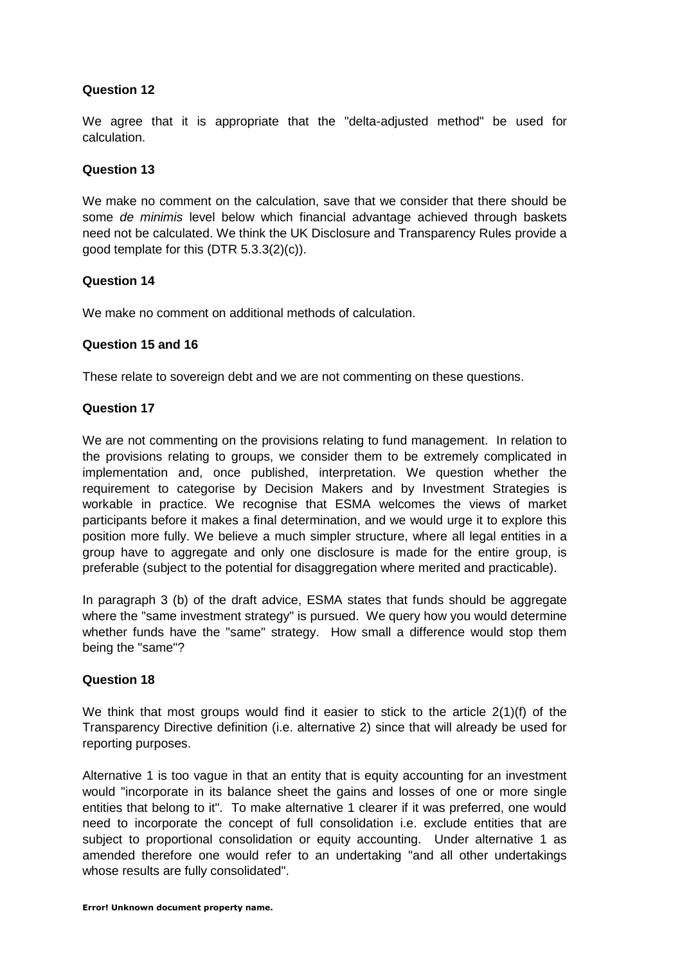# **Question 12**

We agree that it is appropriate that the "delta-adjusted method" be used for calculation.

## **Question 13**

We make no comment on the calculation, save that we consider that there should be some *de minimis* level below which financial advantage achieved through baskets need not be calculated. We think the UK Disclosure and Transparency Rules provide a good template for this (DTR 5.3.3(2)(c)).

## **Question 14**

We make no comment on additional methods of calculation.

## **Question 15 and 16**

These relate to sovereign debt and we are not commenting on these questions.

## **Question 17**

We are not commenting on the provisions relating to fund management. In relation to the provisions relating to groups, we consider them to be extremely complicated in implementation and, once published, interpretation. We question whether the requirement to categorise by Decision Makers and by Investment Strategies is workable in practice. We recognise that ESMA welcomes the views of market participants before it makes a final determination, and we would urge it to explore this position more fully. We believe a much simpler structure, where all legal entities in a group have to aggregate and only one disclosure is made for the entire group, is preferable (subject to the potential for disaggregation where merited and practicable).

In paragraph 3 (b) of the draft advice, ESMA states that funds should be aggregate where the "same investment strategy" is pursued. We query how you would determine whether funds have the "same" strategy. How small a difference would stop them being the "same"?

#### **Question 18**

We think that most groups would find it easier to stick to the article 2(1)(f) of the Transparency Directive definition (i.e. alternative 2) since that will already be used for reporting purposes.

Alternative 1 is too vague in that an entity that is equity accounting for an investment would "incorporate in its balance sheet the gains and losses of one or more single entities that belong to it". To make alternative 1 clearer if it was preferred, one would need to incorporate the concept of full consolidation i.e. exclude entities that are subject to proportional consolidation or equity accounting. Under alternative 1 as amended therefore one would refer to an undertaking "and all other undertakings whose results are fully consolidated".